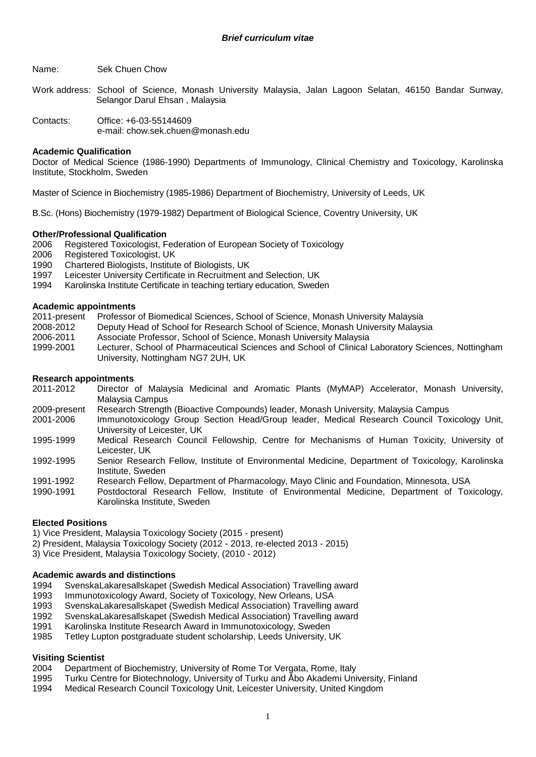Name: Sek Chuen Chow

Work address: School of Science, Monash University Malaysia, Jalan Lagoon Selatan, 46150 Bandar Sunway, Selangor Darul Ehsan , Malaysia

Contacts: Office: +6-03-55144609 e-mail: chow.sek.chuen@monash.edu

#### **Academic Qualification**

Doctor of Medical Science (1986-1990) Departments of Immunology, Clinical Chemistry and Toxicology, Karolinska Institute, Stockholm, Sweden

Master of Science in Biochemistry (1985-1986) Department of Biochemistry, University of Leeds, UK

B.Sc. (Hons) Biochemistry (1979-1982) Department of Biological Science, Coventry University, UK

#### **Other/Professional Qualification**

2006 Registered Toxicologist, Federation of European Society of Toxicology

2006 Registered Toxicologist, UK

- 1990 Chartered Biologists, Institute of Biologists, UK
- 1997 Leicester University Certificate in Recruitment and Selection, UK
- 1994 Karolinska Institute Certificate in teaching tertiary education, Sweden

#### **Academic appointments**

2011-present Professor of Biomedical Sciences, School of Science, Monash University Malaysia

- 2008-2012 Deputy Head of School for Research School of Science, Monash University Malaysia
- 2006-2011 Associate Professor, School of Science, Monash University Malaysia
- 1999-2001 Lecturer, School of Pharmaceutical Sciences and School of Clinical Laboratory Sciences, Nottingham University, Nottingham NG7 2UH, UK

#### **Research appointments**

- 2011-2012 Director of Malaysia Medicinal and Aromatic Plants (MyMAP) Accelerator, Monash University, Malaysia Campus
- 2009-present Research Strength (Bioactive Compounds) leader, Monash University, Malaysia Campus
- 2001-2006 Immunotoxicology Group Section Head/Group leader, Medical Research Council Toxicology Unit, University of Leicester, UK
- 1995-1999 Medical Research Council Fellowship, Centre for Mechanisms of Human Toxicity, University of Leicester, UK
- 1992-1995 Senior Research Fellow, Institute of Environmental Medicine, Department of Toxicology, Karolinska Institute, Sweden
- 1991-1992 Research Fellow, Department of Pharmacology, Mayo Clinic and Foundation, Minnesota, USA
- 1990-1991 Postdoctoral Research Fellow, Institute of Environmental Medicine, Department of Toxicology, Karolinska Institute, Sweden

#### **Elected Positions**

1) Vice President, Malaysia Toxicology Society (2015 - present)

- 2) President, Malaysia Toxicology Society (2012 2013, re-elected 2013 2015)
- 3) Vice President, Malaysia Toxicology Society, (2010 2012)

# **Academic awards and distinctions**

- SvenskaLakaresallskapet (Swedish Medical Association) Travelling award
- 1993 Immunotoxicology Award, Society of Toxicology, New Orleans, USA
- 1993 SvenskaLakaresallskapet (Swedish Medical Association) Travelling award
- 1992 SvenskaLakaresallskapet (Swedish Medical Association) Travelling award
- 1991 Karolinska Institute Research Award in Immunotoxicology, Sweden
- 1985 Tetley Lupton postgraduate student scholarship, Leeds University, UK

### **Visiting Scientist**

- 2004 Department of Biochemistry, University of Rome Tor Vergata, Rome, Italy
- 1995 Turku Centre for Biotechnology, University of Turku and Åbo Akademi University, Finland
- 1994 Medical Research Council Toxicology Unit, Leicester University, United Kingdom